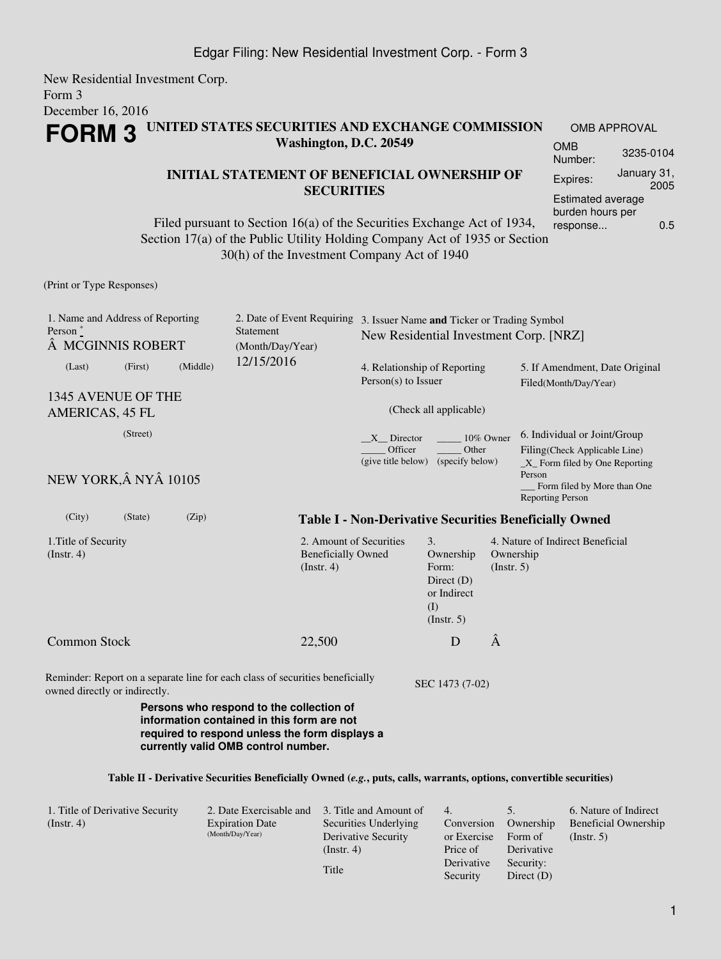New Residential Investment Corp. Form 3 December 16, 2016 **FORM 3 UNITED STATES SECURITIES AND EXCHANGE COMMISSION Washington, D.C. 20549** OMB APPROVAL OMB Number: 3235-0104

## **INITIAL STATEMENT OF BENEFICIAL OWNERSHIP OF SECURITIES**

Filed pursuant to Section 16(a) of the Securities Exchange Act of 1934, Section 17(a) of the Public Utility Holding Company Act of 1935 or Section 30(h) of the Investment Company Act of 1940

(Print or Type Responses)

| 1. Name and Address of Reporting<br>Person $\degree$<br>MCGINNIS ROBERT |         |          | 2. Date of Event Requiring<br><b>Statement</b><br>(Month/Day/Year)                                                                       | 3. Issuer Name and Ticker or Trading Symbol<br>New Residential Investment Corp. [NRZ] |                                                                                                  |                                                         |                                                                                                          |
|-------------------------------------------------------------------------|---------|----------|------------------------------------------------------------------------------------------------------------------------------------------|---------------------------------------------------------------------------------------|--------------------------------------------------------------------------------------------------|---------------------------------------------------------|----------------------------------------------------------------------------------------------------------|
| (Last)                                                                  | (First) | (Middle) | 12/15/2016                                                                                                                               | 4. Relationship of Reporting<br>$Person(s)$ to Issuer                                 |                                                                                                  | 5. If Amendment, Date Original<br>Filed(Month/Day/Year) |                                                                                                          |
| 1345 AVENUE OF THE                                                      |         |          |                                                                                                                                          |                                                                                       |                                                                                                  |                                                         |                                                                                                          |
| <b>AMERICAS, 45 FL</b>                                                  |         |          | (Check all applicable)                                                                                                                   |                                                                                       |                                                                                                  |                                                         |                                                                                                          |
| (Street)                                                                |         |          |                                                                                                                                          | X Director<br>10% Owner<br>Officer<br>Other<br>(give title below)<br>(specify below)  |                                                                                                  |                                                         | 6. Individual or Joint/Group<br>Filing(Check Applicable Line)<br>X Form filed by One Reporting<br>Person |
| NEW YORK, Â NYÂ 10105                                                   |         |          |                                                                                                                                          |                                                                                       |                                                                                                  |                                                         | Form filed by More than One<br><b>Reporting Person</b>                                                   |
| (City)                                                                  | (State) | (Zip)    |                                                                                                                                          |                                                                                       |                                                                                                  |                                                         | <b>Table I - Non-Derivative Securities Beneficially Owned</b>                                            |
| 1. Title of Security<br>(Instr. 4)                                      |         |          | 2. Amount of Securities<br><b>Beneficially Owned</b><br>(Insert. 4)                                                                      |                                                                                       | $\mathfrak{Z}$ .<br>Ownership<br>Form:<br>Direct $(D)$<br>or Indirect<br>(I)<br>$($ Instr. 5 $)$ | Ownership<br>(Insert. 5)                                | 4. Nature of Indirect Beneficial                                                                         |
| <b>Common Stock</b>                                                     |         |          | 22,500                                                                                                                                   |                                                                                       | D                                                                                                | Â                                                       |                                                                                                          |
| owned directly or indirectly.                                           |         |          | Reminder: Report on a separate line for each class of securities beneficially                                                            |                                                                                       | SEC 1473 (7-02)                                                                                  |                                                         |                                                                                                          |
|                                                                         |         |          | Persons who respond to the collection of<br>information contained in this form are not<br>required to respond unless the form displays a |                                                                                       |                                                                                                  |                                                         |                                                                                                          |

## **Table II - Derivative Securities Beneficially Owned (***e.g.***, puts, calls, warrants, options, convertible securities)**

**currently valid OMB control number.**

| 1. Title of Derivative Security<br>$($ Instr. 4 $)$ | 2. Date Exercisable and<br><b>Expiration Date</b><br>(Month/Day/Year) | 3. Title and Amount of<br>Securities Underlying<br>Derivative Security<br>(Insert. 4) | 4.<br>Conversion<br>or Exercise<br>Price of<br>Derivative | Ownership<br>Form of<br>Derivative<br>Security: | 6. Nature of Indirect<br><b>Beneficial Ownership</b><br>$($ Instr. 5 $)$ |
|-----------------------------------------------------|-----------------------------------------------------------------------|---------------------------------------------------------------------------------------|-----------------------------------------------------------|-------------------------------------------------|--------------------------------------------------------------------------|
|                                                     |                                                                       | Title                                                                                 | Security                                                  | Direct $(D)$                                    |                                                                          |

Expires: January 31,

Estimated average burden hours per response... 0.5

2005